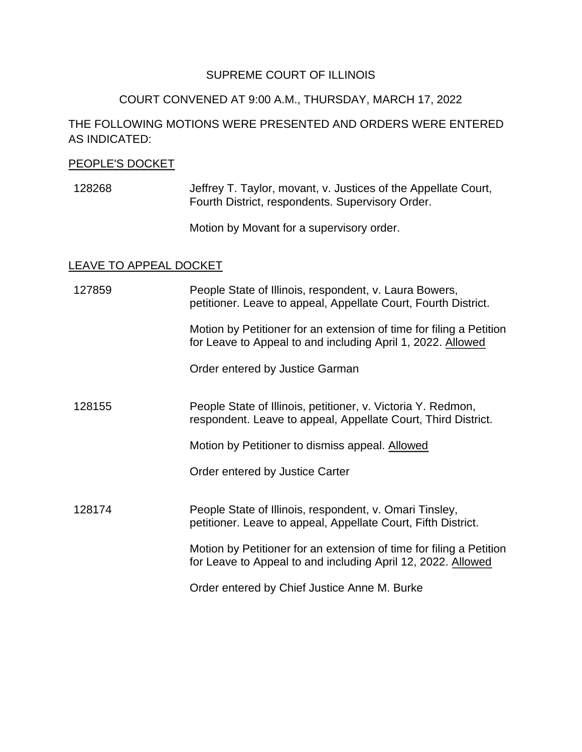## SUPREME COURT OF ILLINOIS

# COURT CONVENED AT 9:00 A.M., THURSDAY, MARCH 17, 2022

# THE FOLLOWING MOTIONS WERE PRESENTED AND ORDERS WERE ENTERED AS INDICATED:

#### PEOPLE'S DOCKET

128268 Jeffrey T. Taylor, movant, v. Justices of the Appellate Court, Fourth District, respondents. Supervisory Order.

Motion by Movant for a supervisory order.

## LEAVE TO APPEAL DOCKET

| 127859 | People State of Illinois, respondent, v. Laura Bowers,<br>petitioner. Leave to appeal, Appellate Court, Fourth District.            |
|--------|-------------------------------------------------------------------------------------------------------------------------------------|
|        | Motion by Petitioner for an extension of time for filing a Petition<br>for Leave to Appeal to and including April 1, 2022. Allowed  |
|        | Order entered by Justice Garman                                                                                                     |
| 128155 | People State of Illinois, petitioner, v. Victoria Y. Redmon,<br>respondent. Leave to appeal, Appellate Court, Third District.       |
|        | Motion by Petitioner to dismiss appeal. Allowed                                                                                     |
|        | Order entered by Justice Carter                                                                                                     |
| 128174 | People State of Illinois, respondent, v. Omari Tinsley,<br>petitioner. Leave to appeal, Appellate Court, Fifth District.            |
|        | Motion by Petitioner for an extension of time for filing a Petition<br>for Leave to Appeal to and including April 12, 2022. Allowed |
|        | Order entered by Chief Justice Anne M. Burke                                                                                        |